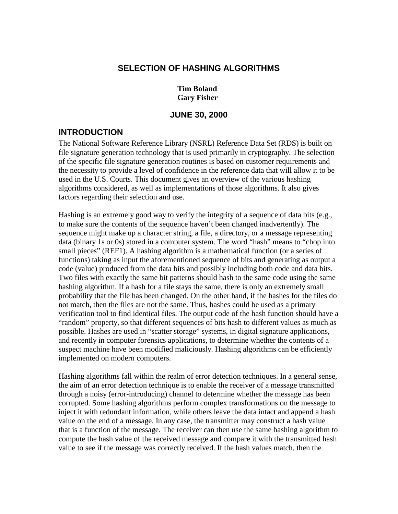#### **SELECTION OF HASHING ALGORITHMS**

#### **Tim Boland Gary Fisher**

#### **JUNE 30, 2000**

## **INTRODUCTION**

The National Software Reference Library (NSRL) Reference Data Set (RDS) is built on file signature generation technology that is used primarily in cryptography. The selection of the specific file signature generation routines is based on customer requirements and the necessity to provide a level of confidence in the reference data that will allow it to be used in the U.S. Courts. This document gives an overview of the various hashing algorithms considered, as well as implementations of those algorithms. It also gives factors regarding their selection and use.

Hashing is an extremely good way to verify the integrity of a sequence of data bits (e.g., to make sure the contents of the sequence haven't been changed inadvertently). The sequence might make up a character string, a file, a directory, or a message representing data (binary 1s or 0s) stored in a computer system. The word "hash" means to "chop into small pieces" (REF1). A hashing algorithm is a mathematical function (or a series of functions) taking as input the aforementioned sequence of bits and generating as output a code (value) produced from the data bits and possibly including both code and data bits. Two files with exactly the same bit patterns should hash to the same code using the same hashing algorithm. If a hash for a file stays the same, there is only an extremely small probability that the file has been changed. On the other hand, if the hashes for the files do not match, then the files are not the same. Thus, hashes could be used as a primary verification tool to find identical files. The output code of the hash function should have a "random" property, so that different sequences of bits hash to different values as much as possible. Hashes are used in "scatter storage" systems, in digital signature applications, and recently in computer forensics applications, to determine whether the contents of a suspect machine have been modified maliciously. Hashing algorithms can be efficiently implemented on modern computers.

Hashing algorithms fall within the realm of error detection techniques. In a general sense, the aim of an error detection technique is to enable the receiver of a message transmitted through a noisy (error-introducing) channel to determine whether the message has been corrupted. Some hashing algorithms perform complex transformations on the message to inject it with redundant information, while others leave the data intact and append a hash value on the end of a message. In any case, the transmitter may construct a hash value that is a function of the message. The receiver can then use the same hashing algorithm to compute the hash value of the received message and compare it with the transmitted hash value to see if the message was correctly received. If the hash values match, then the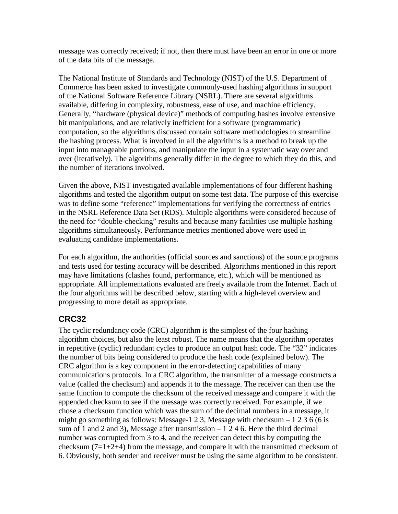message was correctly received; if not, then there must have been an error in one or more of the data bits of the message.

The National Institute of Standards and Technology (NIST) of the U.S. Department of Commerce has been asked to investigate commonly-used hashing algorithms in support of the National Software Reference Library (NSRL). There are several algorithms available, differing in complexity, robustness, ease of use, and machine efficiency. Generally, "hardware (physical device)" methods of computing hashes involve extensive bit manipulations, and are relatively inefficient for a software (programmatic) computation, so the algorithms discussed contain software methodologies to streamline the hashing process. What is involved in all the algorithms is a method to break up the input into manageable portions, and manipulate the input in a systematic way over and over (iteratively). The algorithms generally differ in the degree to which they do this, and the number of iterations involved.

Given the above, NIST investigated available implementations of four different hashing algorithms and tested the algorithm output on some test data. The purpose of this exercise was to define some "reference" implementations for verifying the correctness of entries in the NSRL Reference Data Set (RDS). Multiple algorithms were considered because of the need for "double-checking" results and because many facilities use multiple hashing algorithms simultaneously. Performance metrics mentioned above were used in evaluating candidate implementations.

For each algorithm, the authorities (official sources and sanctions) of the source programs and tests used for testing accuracy will be described. Algorithms mentioned in this report may have limitations (clashes found, performance, etc.), which will be mentioned as appropriate. All implementations evaluated are freely available from the Internet. Each of the four algorithms will be described below, starting with a high-level overview and progressing to more detail as appropriate.

### **CRC32**

The cyclic redundancy code (CRC) algorithm is the simplest of the four hashing algorithm choices, but also the least robust. The name means that the algorithm operates in repetitive (cyclic) redundant cycles to produce an output hash code. The "32" indicates the number of bits being considered to produce the hash code (explained below). The CRC algorithm is a key component in the error-detecting capabilities of many communications protocols. In a CRC algorithm, the transmitter of a message constructs a value (called the checksum) and appends it to the message. The receiver can then use the same function to compute the checksum of the received message and compare it with the appended checksum to see if the message was correctly received. For example, if we chose a checksum function which was the sum of the decimal numbers in a message, it might go something as follows: Message-1 2 3, Message with checksum  $-1236(6)$  is sum of 1 and 2 and 3), Message after transmission  $-1246$ . Here the third decimal number was corrupted from 3 to 4, and the receiver can detect this by computing the checksum  $(7=1+2+4)$  from the message, and compare it with the transmitted checksum of 6. Obviously, both sender and receiver must be using the same algorithm to be consistent.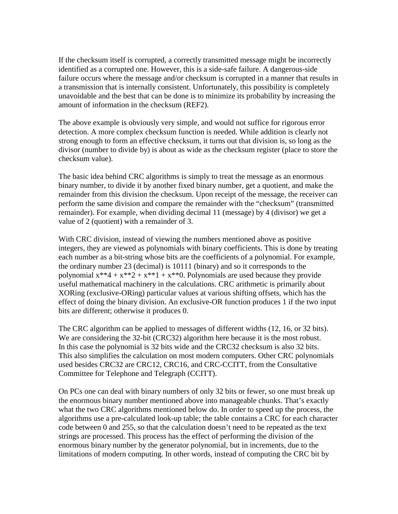If the checksum itself is corrupted, a correctly transmitted message might be incorrectly identified as a corrupted one. However, this is a side-safe failure. A dangerous-side failure occurs where the message and/or checksum is corrupted in a manner that results in a transmission that is internally consistent. Unfortunately, this possibility is completely unavoidable and the best that can be done is to minimize its probability by increasing the amount of information in the checksum (REF2).

The above example is obviously very simple, and would not suffice for rigorous error detection. A more complex checksum function is needed. While addition is clearly not strong enough to form an effective checksum, it turns out that division is, so long as the divisor (number to divide by) is about as wide as the checksum register (place to store the checksum value).

The basic idea behind CRC algorithms is simply to treat the message as an enormous binary number, to divide it by another fixed binary number, get a quotient, and make the remainder from this division the checksum. Upon receipt of the message, the receiver can perform the same division and compare the remainder with the "checksum" (transmitted remainder). For example, when dividing decimal 11 (message) by 4 (divisor) we get a value of 2 (quotient) with a remainder of 3.

With CRC division, instead of viewing the numbers mentioned above as positive integers, they are viewed as polynomials with binary coefficients. This is done by treating each number as a bit-string whose bits are the coefficients of a polynomial. For example, the ordinary number 23 (decimal) is 10111 (binary) and so it corresponds to the polynomial  $x^{**}4 + x^{**}2 + x^{**}1 + x^{**}0$ . Polynomials are used because they provide useful mathematical machinery in the calculations. CRC arithmetic is primarily about XORing (exclusive-ORing) particular values at various shifting offsets, which has the effect of doing the binary division. An exclusive-OR function produces 1 if the two input bits are different; otherwise it produces 0.

The CRC algorithm can be applied to messages of different widths (12, 16, or 32 bits). We are considering the 32-bit (CRC32) algorithm here because it is the most robust. In this case the polynomial is 32 bits wide and the CRC32 checksum is also 32 bits. This also simplifies the calculation on most modern computers. Other CRC polynomials used besides CRC32 are CRC12, CRC16, and CRC-CCITT, from the Consultative Committee for Telephone and Telegraph (CCITT).

On PCs one can deal with binary numbers of only 32 bits or fewer, so one must break up the enormous binary number mentioned above into manageable chunks. That's exactly what the two CRC algorithms mentioned below do. In order to speed up the process, the algorithms use a pre-calculated look-up table; the table contains a CRC for each character code between 0 and 255, so that the calculation doesn't need to be repeated as the text strings are processed. This process has the effect of performing the division of the enormous binary number by the generator polynomial, but in increments, due to the limitations of modern computing. In other words, instead of computing the CRC bit by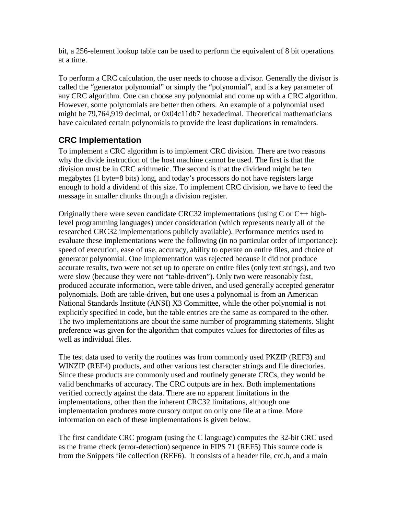bit, a 256-element lookup table can be used to perform the equivalent of 8 bit operations at a time.

To perform a CRC calculation, the user needs to choose a divisor. Generally the divisor is called the "generator polynomial" or simply the "polynomial", and is a key parameter of any CRC algorithm. One can choose any polynomial and come up with a CRC algorithm. However, some polynomials are better then others. An example of a polynomial used might be 79,764,919 decimal, or 0x04c11db7 hexadecimal. Theoretical mathematicians have calculated certain polynomials to provide the least duplications in remainders.

# **CRC Implementation**

To implement a CRC algorithm is to implement CRC division. There are two reasons why the divide instruction of the host machine cannot be used. The first is that the division must be in CRC arithmetic. The second is that the dividend might be ten megabytes (1 byte=8 bits) long, and today's processors do not have registers large enough to hold a dividend of this size. To implement CRC division, we have to feed the message in smaller chunks through a division register.

Originally there were seven candidate CRC32 implementations (using  $C$  or  $C_{++}$  highlevel programming languages) under consideration (which represents nearly all of the researched CRC32 implementations publicly available). Performance metrics used to evaluate these implementations were the following (in no particular order of importance): speed of execution, ease of use, accuracy, ability to operate on entire files, and choice of generator polynomial. One implementation was rejected because it did not produce accurate results, two were not set up to operate on entire files (only text strings), and two were slow (because they were not "table-driven"). Only two were reasonably fast, produced accurate information, were table driven, and used generally accepted generator polynomials. Both are table-driven, but one uses a polynomial is from an American National Standards Institute (ANSI) X3 Committee, while the other polynomial is not explicitly specified in code, but the table entries are the same as compared to the other. The two implementations are about the same number of programming statements. Slight preference was given for the algorithm that computes values for directories of files as well as individual files.

The test data used to verify the routines was from commonly used PKZIP (REF3) and WINZIP (REF4) products, and other various test character strings and file directories. Since these products are commonly used and routinely generate CRCs, they would be valid benchmarks of accuracy. The CRC outputs are in hex. Both implementations verified correctly against the data. There are no apparent limitations in the implementations, other than the inherent CRC32 limitations, although one implementation produces more cursory output on only one file at a time. More information on each of these implementations is given below.

The first candidate CRC program (using the C language) computes the 32-bit CRC used as the frame check (error-detection) sequence in FIPS 71 (REF5) This source code is from the Snippets file collection (REF6). It consists of a header file, crc.h, and a main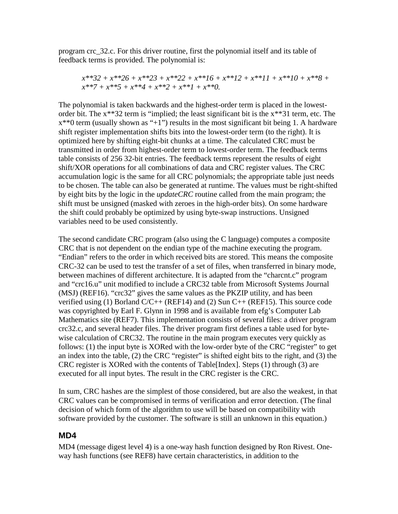program crc\_32.c. For this driver routine, first the polynomial itself and its table of feedback terms is provided. The polynomial is:

$$
x**32 + x**26 + x**23 + x**22 + x**16 + x**12 + x**11 + x**10 + x**8 + x**7 + x**5 + x**4 + x**2 + x**1 + x**0.
$$

The polynomial is taken backwards and the highest-order term is placed in the lowestorder bit. The x\*\*32 term is "implied; the least significant bit is the x\*\*31 term, etc. The  $x^{**}0$  term (usually shown as "+1") results in the most significant bit being 1. A hardware shift register implementation shifts bits into the lowest-order term (to the right). It is optimized here by shifting eight-bit chunks at a time. The calculated CRC must be transmitted in order from highest-order term to lowest-order term. The feedback terms table consists of 256 32-bit entries. The feedback terms represent the results of eight shift/XOR operations for all combinations of data and CRC register values. The CRC accumulation logic is the same for all CRC polynomials; the appropriate table just needs to be chosen. The table can also be generated at runtime. The values must be right-shifted by eight bits by the logic in the *updateCRC* routine called from the main program; the shift must be unsigned (masked with zeroes in the high-order bits). On some hardware the shift could probably be optimized by using byte-swap instructions. Unsigned variables need to be used consistently.

The second candidate CRC program (also using the C language) computes a composite CRC that is not dependent on the endian type of the machine executing the program. "Endian" refers to the order in which received bits are stored. This means the composite CRC-32 can be used to test the transfer of a set of files, when transferred in binary mode, between machines of different architecture. It is adapted from the "charcnt.c" program and "crc16.u" unit modified to include a CRC32 table from Microsoft Systems Journal (MSJ) (REF16). "crc32" gives the same values as the PKZIP utility, and has been verified using (1) Borland  $C/C++$  (REF14) and (2) Sun  $C++$  (REF15). This source code was copyrighted by Earl F. Glynn in 1998 and is available from efg's Computer Lab Mathematics site (REF7). This implementation consists of several files: a driver program crc32.c, and several header files. The driver program first defines a table used for bytewise calculation of CRC32. The routine in the main program executes very quickly as follows: (1) the input byte is XORed with the low-order byte of the CRC "register" to get an index into the table, (2) the CRC "register" is shifted eight bits to the right, and (3) the CRC register is XORed with the contents of Table[Index]. Steps (1) through (3) are executed for all input bytes. The result in the CRC register is the CRC.

In sum, CRC hashes are the simplest of those considered, but are also the weakest, in that CRC values can be compromised in terms of verification and error detection. (The final decision of which form of the algorithm to use will be based on compatibility with software provided by the customer. The software is still an unknown in this equation.)

#### **MD4**

MD4 (message digest level 4) is a one-way hash function designed by Ron Rivest. Oneway hash functions (see REF8) have certain characteristics, in addition to the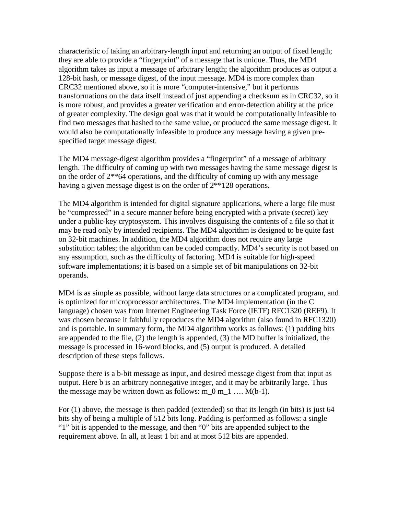characteristic of taking an arbitrary-length input and returning an output of fixed length; they are able to provide a "fingerprint" of a message that is unique. Thus, the MD4 algorithm takes as input a message of arbitrary length; the algorithm produces as output a 128-bit hash, or message digest, of the input message. MD4 is more complex than CRC32 mentioned above, so it is more "computer-intensive," but it performs transformations on the data itself instead of just appending a checksum as in CRC32, so it is more robust, and provides a greater verification and error-detection ability at the price of greater complexity. The design goal was that it would be computationally infeasible to find two messages that hashed to the same value, or produced the same message digest. It would also be computationally infeasible to produce any message having a given prespecified target message digest.

The MD4 message-digest algorithm provides a "fingerprint" of a message of arbitrary length. The difficulty of coming up with two messages having the same message digest is on the order of  $2^{**}64$  operations, and the difficulty of coming up with any message having a given message digest is on the order of  $2^{**}128$  operations.

The MD4 algorithm is intended for digital signature applications, where a large file must be "compressed" in a secure manner before being encrypted with a private (secret) key under a public-key cryptosystem. This involves disguising the contents of a file so that it may be read only by intended recipients. The MD4 algorithm is designed to be quite fast on 32-bit machines. In addition, the MD4 algorithm does not require any large substitution tables; the algorithm can be coded compactly. MD4's security is not based on any assumption, such as the difficulty of factoring. MD4 is suitable for high-speed software implementations; it is based on a simple set of bit manipulations on 32-bit operands.

MD4 is as simple as possible, without large data structures or a complicated program, and is optimized for microprocessor architectures. The MD4 implementation (in the C language) chosen was from Internet Engineering Task Force (IETF) RFC1320 (REF9). It was chosen because it faithfully reproduces the MD4 algorithm (also found in RFC1320) and is portable. In summary form, the MD4 algorithm works as follows: (1) padding bits are appended to the file, (2) the length is appended, (3) the MD buffer is initialized, the message is processed in 16-word blocks, and (5) output is produced. A detailed description of these steps follows.

Suppose there is a b-bit message as input, and desired message digest from that input as output. Here b is an arbitrary nonnegative integer, and it may be arbitrarily large. Thus the message may be written down as follows:  $m_0 m_1 ... M(b-1)$ .

For (1) above, the message is then padded (extended) so that its length (in bits) is just 64 bits shy of being a multiple of 512 bits long. Padding is performed as follows: a single "1" bit is appended to the message, and then "0" bits are appended subject to the requirement above. In all, at least 1 bit and at most 512 bits are appended.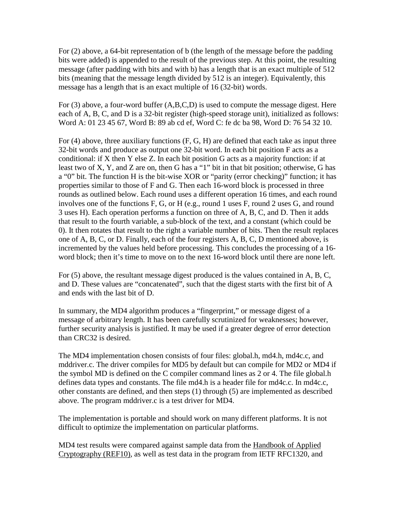For (2) above, a 64-bit representation of b (the length of the message before the padding bits were added) is appended to the result of the previous step. At this point, the resulting message (after padding with bits and with b) has a length that is an exact multiple of 512 bits (meaning that the message length divided by 512 is an integer). Equivalently, this message has a length that is an exact multiple of 16 (32-bit) words.

For (3) above, a four-word buffer (A,B,C,D) is used to compute the message digest. Here each of A, B, C, and D is a 32-bit register (high-speed storage unit), initialized as follows: Word A: 01 23 45 67, Word B: 89 ab cd ef, Word C: fe dc ba 98, Word D: 76 54 32 10.

For  $(4)$  above, three auxiliary functions  $(F, G, H)$  are defined that each take as input three 32-bit words and produce as output one 32-bit word. In each bit position F acts as a conditional: if X then Y else Z. In each bit position G acts as a majority function: if at least two of X, Y, and Z are on, then G has a "1" bit in that bit position; otherwise, G has a "0" bit. The function H is the bit-wise XOR or "parity (error checking)" function; it has properties similar to those of F and G. Then each 16-word block is processed in three rounds as outlined below. Each round uses a different operation 16 times, and each round involves one of the functions F, G, or H (e.g., round 1 uses F, round 2 uses G, and round 3 uses H). Each operation performs a function on three of A, B, C, and D. Then it adds that result to the fourth variable, a sub-block of the text, and a constant (which could be 0). It then rotates that result to the right a variable number of bits. Then the result replaces one of A, B, C, or D. Finally, each of the four registers A, B, C, D mentioned above, is incremented by the values held before processing. This concludes the processing of a 16 word block; then it's time to move on to the next 16-word block until there are none left.

For (5) above, the resultant message digest produced is the values contained in A, B, C, and D. These values are "concatenated", such that the digest starts with the first bit of A and ends with the last bit of D.

In summary, the MD4 algorithm produces a "fingerprint," or message digest of a message of arbitrary length. It has been carefully scrutinized for weaknesses; however, further security analysis is justified. It may be used if a greater degree of error detection than CRC32 is desired.

The MD4 implementation chosen consists of four files: global.h, md4.h, md4c.c, and mddriver.c. The driver compiles for MD5 by default but can compile for MD2 or MD4 if the symbol MD is defined on the C compiler command lines as 2 or 4. The file global.h defines data types and constants. The file md4.h is a header file for md4c.c. In md4c.c, other constants are defined, and then steps (1) through (5) are implemented as described above. The program mddriver.c is a test driver for MD4.

The implementation is portable and should work on many different platforms. It is not difficult to optimize the implementation on particular platforms.

MD4 test results were compared against sample data from the Handbook of Applied Cryptography (REF10), as well as test data in the program from IETF RFC1320, and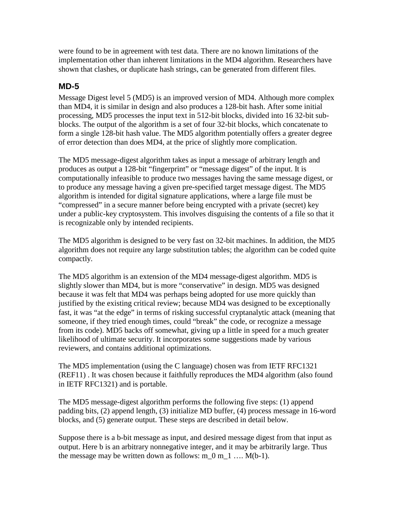were found to be in agreement with test data. There are no known limitations of the implementation other than inherent limitations in the MD4 algorithm. Researchers have shown that clashes, or duplicate hash strings, can be generated from different files.

### **MD-5**

Message Digest level 5 (MD5) is an improved version of MD4. Although more complex than MD4, it is similar in design and also produces a 128-bit hash. After some initial processing, MD5 processes the input text in 512-bit blocks, divided into 16 32-bit subblocks. The output of the algorithm is a set of four 32-bit blocks, which concatenate to form a single 128-bit hash value. The MD5 algorithm potentially offers a greater degree of error detection than does MD4, at the price of slightly more complication.

The MD5 message-digest algorithm takes as input a message of arbitrary length and produces as output a 128-bit "fingerprint" or "message digest" of the input. It is computationally infeasible to produce two messages having the same message digest, or to produce any message having a given pre-specified target message digest. The MD5 algorithm is intended for digital signature applications, where a large file must be "compressed" in a secure manner before being encrypted with a private (secret) key under a public-key cryptosystem. This involves disguising the contents of a file so that it is recognizable only by intended recipients.

The MD5 algorithm is designed to be very fast on 32-bit machines. In addition, the MD5 algorithm does not require any large substitution tables; the algorithm can be coded quite compactly.

The MD5 algorithm is an extension of the MD4 message-digest algorithm. MD5 is slightly slower than MD4, but is more "conservative" in design. MD5 was designed because it was felt that MD4 was perhaps being adopted for use more quickly than justified by the existing critical review; because MD4 was designed to be exceptionally fast, it was "at the edge" in terms of risking successful cryptanalytic attack (meaning that someone, if they tried enough times, could "break" the code, or recognize a message from its code). MD5 backs off somewhat, giving up a little in speed for a much greater likelihood of ultimate security. It incorporates some suggestions made by various reviewers, and contains additional optimizations.

The MD5 implementation (using the C language) chosen was from IETF RFC1321 (REF11) . It was chosen because it faithfully reproduces the MD4 algorithm (also found in IETF RFC1321) and is portable.

The MD5 message-digest algorithm performs the following five steps: (1) append padding bits, (2) append length, (3) initialize MD buffer, (4) process message in 16-word blocks, and (5) generate output. These steps are described in detail below.

Suppose there is a b-bit message as input, and desired message digest from that input as output. Here b is an arbitrary nonnegative integer, and it may be arbitrarily large. Thus the message may be written down as follows:  $m_0 m_1 \ldots M(b-1)$ .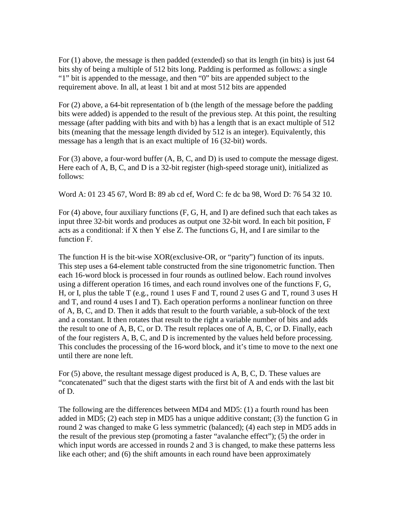For (1) above, the message is then padded (extended) so that its length (in bits) is just 64 bits shy of being a multiple of 512 bits long. Padding is performed as follows: a single "1" bit is appended to the message, and then "0" bits are appended subject to the requirement above. In all, at least 1 bit and at most 512 bits are appended

For (2) above, a 64-bit representation of b (the length of the message before the padding bits were added) is appended to the result of the previous step. At this point, the resulting message (after padding with bits and with b) has a length that is an exact multiple of 512 bits (meaning that the message length divided by 512 is an integer). Equivalently, this message has a length that is an exact multiple of 16 (32-bit) words.

For (3) above, a four-word buffer (A, B, C, and D) is used to compute the message digest. Here each of A, B, C, and D is a 32-bit register (high-speed storage unit), initialized as follows:

Word A: 01 23 45 67, Word B: 89 ab cd ef, Word C: fe dc ba 98, Word D: 76 54 32 10.

For (4) above, four auxiliary functions (F, G, H, and I) are defined such that each takes as input three 32-bit words and produces as output one 32-bit word. In each bit position, F acts as a conditional: if X then Y else Z. The functions G, H, and I are similar to the function F.

The function H is the bit-wise XOR(exclusive-OR, or "parity") function of its inputs. This step uses a 64-element table constructed from the sine trigonometric function. Then each 16-word block is processed in four rounds as outlined below. Each round involves using a different operation 16 times, and each round involves one of the functions F, G, H, or I, plus the table T (e.g., round 1 uses F and T, round 2 uses G and T, round 3 uses H and T, and round 4 uses I and T). Each operation performs a nonlinear function on three of A, B, C, and D. Then it adds that result to the fourth variable, a sub-block of the text and a constant. It then rotates that result to the right a variable number of bits and adds the result to one of A, B, C, or D. The result replaces one of A, B, C, or D. Finally, each of the four registers A, B, C, and D is incremented by the values held before processing. This concludes the processing of the 16-word block, and it's time to move to the next one until there are none left.

For (5) above, the resultant message digest produced is A, B, C, D. These values are "concatenated" such that the digest starts with the first bit of A and ends with the last bit of D.

The following are the differences between MD4 and MD5: (1) a fourth round has been added in MD5; (2) each step in MD5 has a unique additive constant; (3) the function G in round 2 was changed to make G less symmetric (balanced); (4) each step in MD5 adds in the result of the previous step (promoting a faster "avalanche effect"); (5) the order in which input words are accessed in rounds 2 and 3 is changed, to make these patterns less like each other; and (6) the shift amounts in each round have been approximately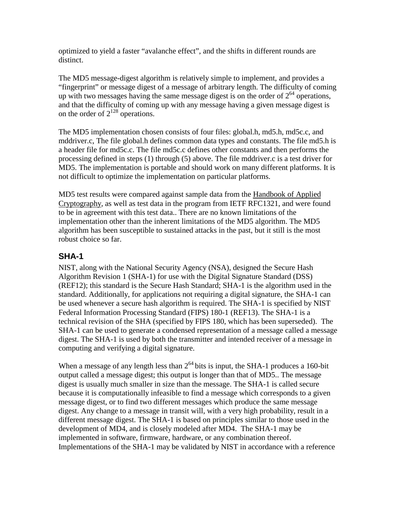optimized to yield a faster "avalanche effect", and the shifts in different rounds are distinct.

The MD5 message-digest algorithm is relatively simple to implement, and provides a "fingerprint" or message digest of a message of arbitrary length. The difficulty of coming up with two messages having the same message digest is on the order of  $2^{64}$  operations, and that the difficulty of coming up with any message having a given message digest is on the order of  $2^{128}$  operations.

The MD5 implementation chosen consists of four files: global.h, md5.h, md5c.c, and mddriver.c, The file global.h defines common data types and constants. The file md5.h is a header file for md5c.c. The file md5c.c defines other constants and then performs the processing defined in steps (1) through (5) above. The file mddriver.c is a test driver for MD5. The implementation is portable and should work on many different platforms. It is not difficult to optimize the implementation on particular platforms.

MD5 test results were compared against sample data from the Handbook of Applied Cryptography, as well as test data in the program from IETF RFC1321, and were found to be in agreement with this test data.. There are no known limitations of the implementation other than the inherent limitations of the MD5 algorithm. The MD5 algorithm has been susceptible to sustained attacks in the past, but it still is the most robust choice so far.

## **SHA-1**

NIST, along with the National Security Agency (NSA), designed the Secure Hash Algorithm Revision 1 (SHA-1) for use with the Digital Signature Standard (DSS) (REF12); this standard is the Secure Hash Standard; SHA-1 is the algorithm used in the standard. Additionally, for applications not requiring a digital signature, the SHA-1 can be used whenever a secure hash algorithm is required. The SHA-1 is specified by NIST Federal Information Processing Standard (FIPS) 180-1 (REF13). The SHA-1 is a technical revision of the SHA (specified by FIPS 180, which has been superseded). The SHA-1 can be used to generate a condensed representation of a message called a message digest. The SHA-1 is used by both the transmitter and intended receiver of a message in computing and verifying a digital signature.

When a message of any length less than  $2^{64}$  bits is input, the SHA-1 produces a 160-bit output called a message digest; this output is longer than that of MD5.. The message digest is usually much smaller in size than the message. The SHA-1 is called secure because it is computationally infeasible to find a message which corresponds to a given message digest, or to find two different messages which produce the same message digest. Any change to a message in transit will, with a very high probability, result in a different message digest. The SHA-1 is based on principles similar to those used in the development of MD4, and is closely modeled after MD4. The SHA-1 may be implemented in software, firmware, hardware, or any combination thereof. Implementations of the SHA-1 may be validated by NIST in accordance with a reference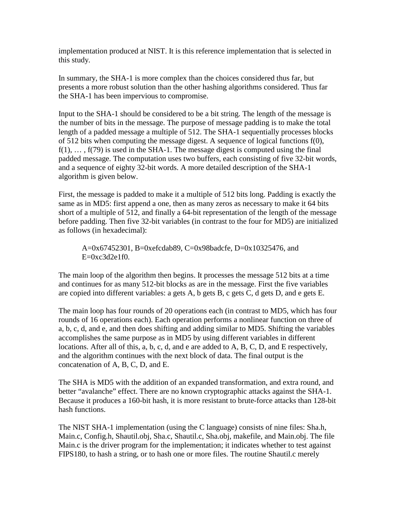implementation produced at NIST. It is this reference implementation that is selected in this study.

In summary, the SHA-1 is more complex than the choices considered thus far, but presents a more robust solution than the other hashing algorithms considered. Thus far the SHA-1 has been impervious to compromise.

Input to the SHA-1 should be considered to be a bit string. The length of the message is the number of bits in the message. The purpose of message padding is to make the total length of a padded message a multiple of 512. The SHA-1 sequentially processes blocks of 512 bits when computing the message digest. A sequence of logical functions f(0),  $f(1), \ldots, f(79)$  is used in the SHA-1. The message digest is computed using the final padded message. The computation uses two buffers, each consisting of five 32-bit words, and a sequence of eighty 32-bit words. A more detailed description of the SHA-1 algorithm is given below.

First, the message is padded to make it a multiple of 512 bits long. Padding is exactly the same as in MD5: first append a one, then as many zeros as necessary to make it 64 bits short of a multiple of 512, and finally a 64-bit representation of the length of the message before padding. Then five 32-bit variables (in contrast to the four for MD5) are initialized as follows (in hexadecimal):

A=0x67452301, B=0xefcdab89, C=0x98badcfe, D=0x10325476, and  $E=0xc3d2e1f0.$ 

The main loop of the algorithm then begins. It processes the message 512 bits at a time and continues for as many 512-bit blocks as are in the message. First the five variables are copied into different variables: a gets A, b gets B, c gets C, d gets D, and e gets E.

The main loop has four rounds of 20 operations each (in contrast to MD5, which has four rounds of 16 operations each). Each operation performs a nonlinear function on three of a, b, c, d, and e, and then does shifting and adding similar to MD5. Shifting the variables accomplishes the same purpose as in MD5 by using different variables in different locations. After all of this, a, b, c, d, and e are added to A, B, C, D, and E respectively, and the algorithm continues with the next block of data. The final output is the concatenation of A, B, C, D, and E.

The SHA is MD5 with the addition of an expanded transformation, and extra round, and better "avalanche" effect. There are no known cryptographic attacks against the SHA-1. Because it produces a 160-bit hash, it is more resistant to brute-force attacks than 128-bit hash functions.

The NIST SHA-1 implementation (using the C language) consists of nine files: Sha.h, Main.c, Config.h, Shautil.obj, Sha.c, Shautil.c, Sha.obj, makefile, and Main.obj. The file Main.c is the driver program for the implementation; it indicates whether to test against FIPS180, to hash a string, or to hash one or more files. The routine Shautil.c merely